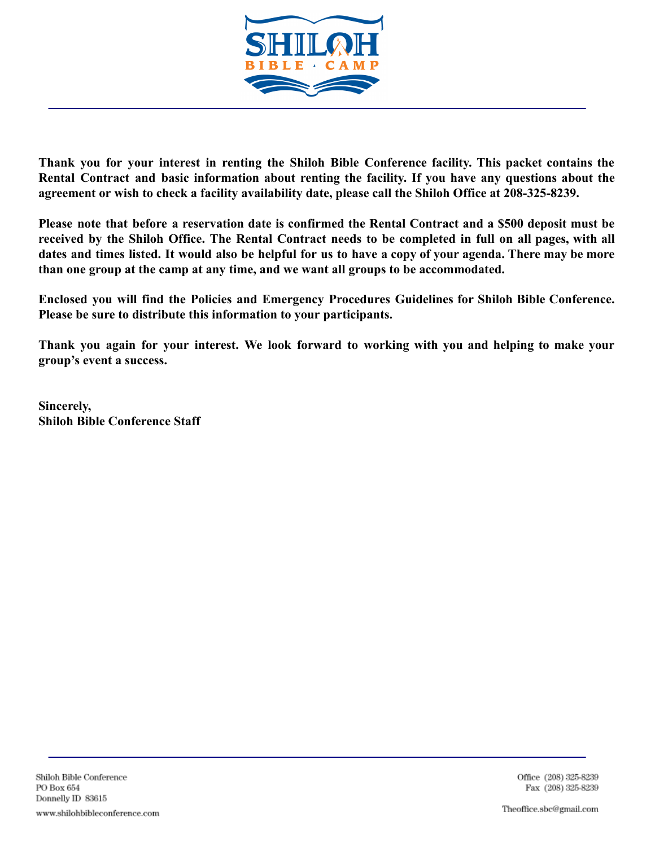

**Thank you for your interest in renting the Shiloh Bible Conference facility. This packet contains the Rental Contract and basic information about renting the facility. If you have any questions about the agreement or wish to check a facility availability date, please call the Shiloh Office at 208-325-8239.**

Please note that before a reservation date is confirmed the Rental Contract and a \$500 deposit must be received by the Shiloh Office. The Rental Contract needs to be completed in full on all pages, with all dates and times listed. It would also be helpful for us to have a copy of your agenda. There may be more **than one group at the camp at any time, and we want all groups to be accommodated.**

**Enclosed you will find the Policies and Emergency Procedures Guidelines for Shiloh Bible Conference. Please be sure to distribute this information to your participants.**

**Thank you again for your interest. We look forward to working with you and helping to make your group's event a success.**

**Sincerely, Shiloh Bible Conference Staff**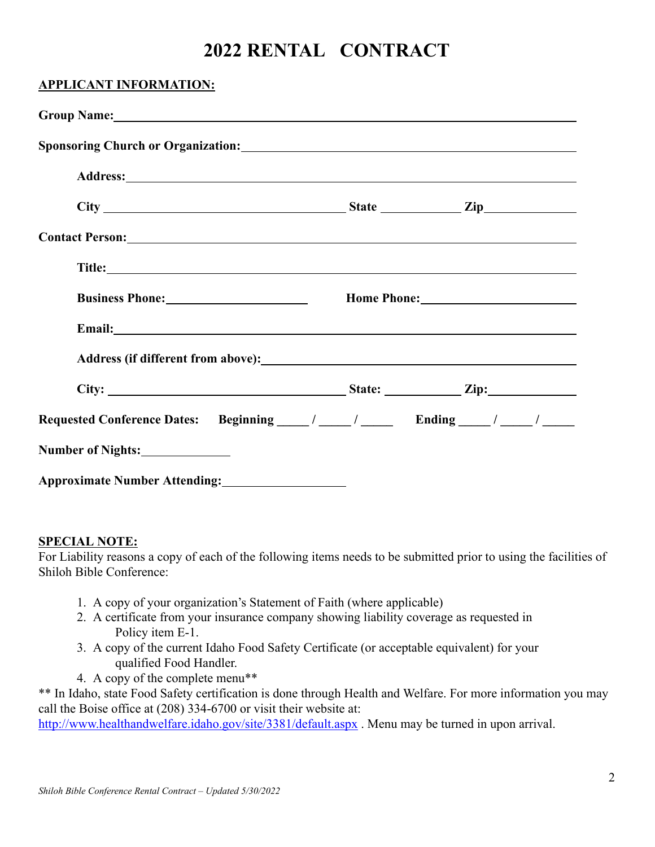# **2022 RENTAL CONTRACT**

| <b>APPLICANT INFORMATION:</b>                                                                                                                                                                                                             |  |
|-------------------------------------------------------------------------------------------------------------------------------------------------------------------------------------------------------------------------------------------|--|
| Group Name: Contract to the Contract of the Contract of the Contract of the Contract of the Contract of the Contract of the Contract of the Contract of the Contract of the Contract of the Contract of the Contract of the Co            |  |
|                                                                                                                                                                                                                                           |  |
| $City$ $City$ $Right$ $Iip$ $Iip$                                                                                                                                                                                                         |  |
|                                                                                                                                                                                                                                           |  |
|                                                                                                                                                                                                                                           |  |
| <b>Business Phone:</b> <u>Community of the set of the set of the set of the set of the set of the set of the set of the set of the set of the set of the set of the set of the set of the set of the set of the set of the set of the</u> |  |
|                                                                                                                                                                                                                                           |  |
| Address (if different from above):<br><u>Address</u> (if different from above):                                                                                                                                                           |  |
|                                                                                                                                                                                                                                           |  |
|                                                                                                                                                                                                                                           |  |
| Number of Nights:                                                                                                                                                                                                                         |  |
| Approximate Number Attending:                                                                                                                                                                                                             |  |

#### **SPECIAL NOTE:**

For Liability reasons a copy of each of the following items needs to be submitted prior to using the facilities of Shiloh Bible Conference:

- 1. A copy of your organization's Statement of Faith (where applicable)
- 2. A certificate from your insurance company showing liability coverage as requested in Policy item E-1.
- 3. A copy of the current Idaho Food Safety Certificate (or acceptable equivalent) for your qualified Food Handler.
- 4. A copy of the complete menu\*\*

\*\* In Idaho, state Food Safety certification is done through Health and Welfare. For more information you may call the Boise office at (208) 334-6700 or visit their website at:

http://www.healthandwelfare.idaho.gov/site/3381/default.aspx . Menu may be turned in upon arrival.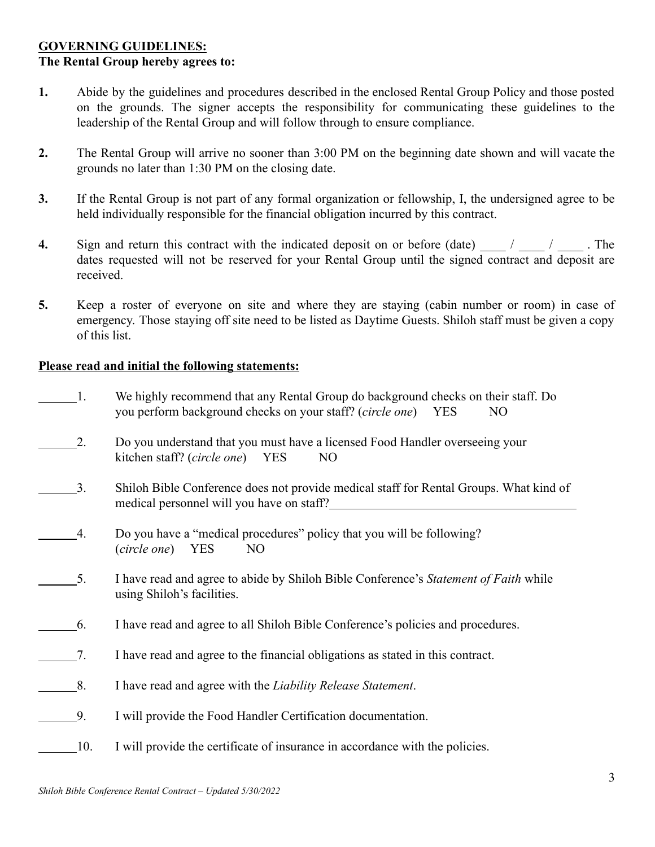# **GOVERNING GUIDELINES: The Rental Group hereby agrees to:**

- **1.** Abide by the guidelines and procedures described in the enclosed Rental Group Policy and those posted on the grounds. The signer accepts the responsibility for communicating these guidelines to the leadership of the Rental Group and will follow through to ensure compliance.
- **2.** The Rental Group will arrive no sooner than 3:00 PM on the beginning date shown and will vacate the grounds no later than 1:30 PM on the closing date.
- **3.** If the Rental Group is not part of any formal organization or fellowship, I, the undersigned agree to be held individually responsible for the financial obligation incurred by this contract.
- **4.** Sign and return this contract with the indicated deposit on or before (date)  $\frac{1}{2}$  /  $\frac{1}{2}$ . The dates requested will not be reserved for your Rental Group until the signed contract and deposit are received.
- **5.** Keep a roster of everyone on site and where they are staying (cabin number or room) in case of emergency. Those staying off site need to be listed as Daytime Guests. Shiloh staff must be given a copy of this list.

# **Please read and initial the following statements:**

| $\frac{1}{2}$ | We highly recommend that any Rental Group do background checks on their staff. Do |     |
|---------------|-----------------------------------------------------------------------------------|-----|
|               | you perform background checks on your staff? ( <i>circle one</i> ) YES            | NO. |
|               |                                                                                   |     |

- 2. Do you understand that you must have a licensed Food Handler overseeing your kitchen staff? (*circle one*) YES NO
- 3. Shiloh Bible Conference does not provide medical staff for Rental Groups. What kind of medical personnel will you have on staff?
- 4. Do you have a "medical procedures" policy that you will be following? (*circle one*) YES NO
- 5. I have read and agree to abide by Shiloh Bible Conference's *Statement of Faith* while using Shiloh's facilities.
- 6. I have read and agree to all Shiloh Bible Conference's policies and procedures.
- 7. I have read and agree to the financial obligations as stated in this contract.
- 8. I have read and agree with the *Liability Release Statement*.
- 9. I will provide the Food Handler Certification documentation.
- 10. I will provide the certificate of insurance in accordance with the policies.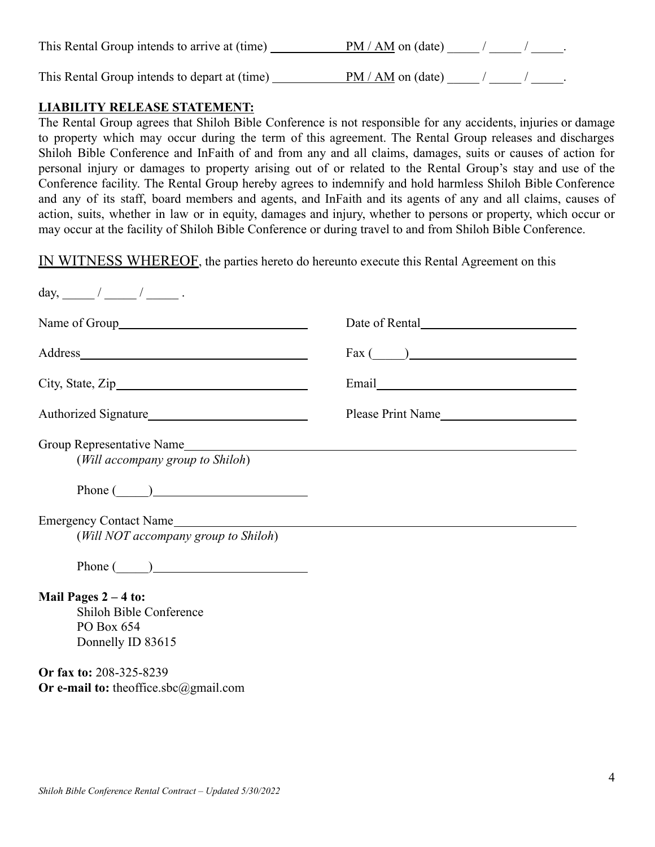| This Rental Group intends to arrive at (time) | $PM / AM$ on (date) $/$ |  |  |
|-----------------------------------------------|-------------------------|--|--|
| This Rental Group intends to depart at (time) | $PM / AM$ on (date) $/$ |  |  |

# **LIABILITY RELEASE STATEMENT:**

The Rental Group agrees that Shiloh Bible Conference is not responsible for any accidents, injuries or damage to property which may occur during the term of this agreement. The Rental Group releases and discharges Shiloh Bible Conference and InFaith of and from any and all claims, damages, suits or causes of action for personal injury or damages to property arising out of or related to the Rental Group's stay and use of the Conference facility. The Rental Group hereby agrees to indemnify and hold harmless Shiloh Bible Conference and any of its staff, board members and agents, and InFaith and its agents of any and all claims, causes of action, suits, whether in law or in equity, damages and injury, whether to persons or property, which occur or may occur at the facility of Shiloh Bible Conference or during travel to and from Shiloh Bible Conference.

IN WITNESS WHEREOF, the parties hereto do hereunto execute this Rental Agreement on this

|                                                                                             | Date of Rental    |
|---------------------------------------------------------------------------------------------|-------------------|
|                                                                                             | $\text{Fax}$ ( )  |
|                                                                                             |                   |
| Authorized Signature                                                                        | Please Print Name |
| (Will accompany group to Shiloh)                                                            |                   |
| Phone $\qquad \qquad$                                                                       |                   |
| Emergency Contact Name<br>(Will NOT accompany group to Shiloh)<br>Phone $\qquad \qquad$     |                   |
| Mail Pages $2 - 4$ to:<br><b>Shiloh Bible Conference</b><br>PO Box 654<br>Donnelly ID 83615 |                   |
| Or fax to: 208-325-8239<br>Or e-mail to: theoffice.sbc@gmail.com                            |                   |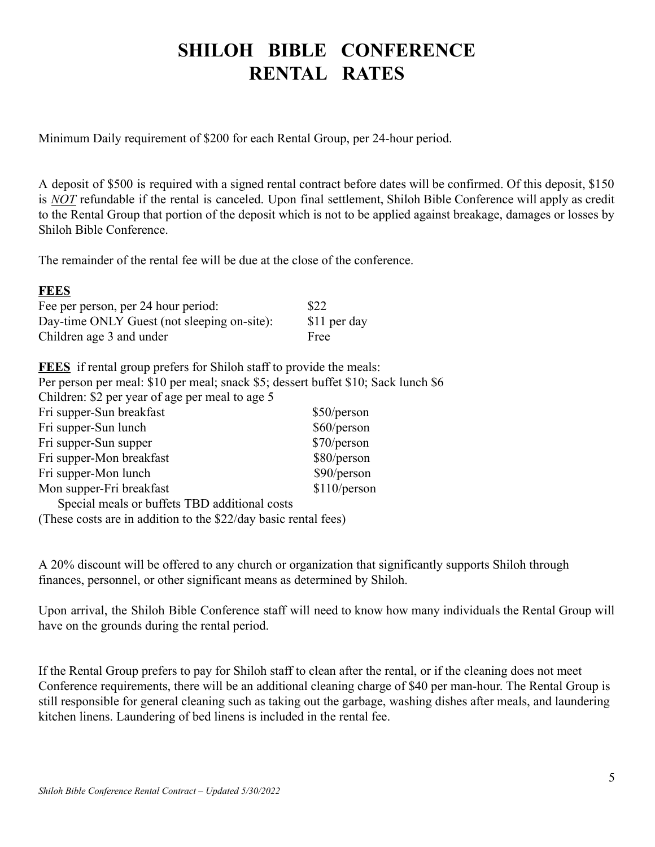# **SHILOH BIBLE CONFERENCE RENTAL RATES**

Minimum Daily requirement of \$200 for each Rental Group, per 24-hour period.

A deposit of \$500 is required with a signed rental contract before dates will be confirmed. Of this deposit, \$150 is *NOT* refundable if the rental is canceled. Upon final settlement, Shiloh Bible Conference will apply as credit to the Rental Group that portion of the deposit which is not to be applied against breakage, damages or losses by Shiloh Bible Conference.

The remainder of the rental fee will be due at the close of the conference.

# **FEES**

| Fee per person, per 24 hour period:         | \$22         |
|---------------------------------------------|--------------|
| Day-time ONLY Guest (not sleeping on-site): | \$11 per day |
| Children age 3 and under                    | Free         |

| <b>FEES</b> if rental group prefers for Shiloh staff to provide the meals:         |              |
|------------------------------------------------------------------------------------|--------------|
| Per person per meal: \$10 per meal; snack \$5; dessert buffet \$10; Sack lunch \$6 |              |
| Children: \$2 per year of age per meal to age 5                                    |              |
| Fri supper-Sun breakfast                                                           | \$50/person  |
| Fri supper-Sun lunch                                                               | \$60/person  |
| Fri supper-Sun supper                                                              | \$70/person  |
| Fri supper-Mon breakfast                                                           | \$80/person  |
| Fri supper-Mon lunch                                                               | \$90/person  |
| Mon supper-Fri breakfast                                                           | \$110/person |
| Special meals or buffets TBD additional costs                                      |              |
| (These costs are in addition to the \$22/day basic rental fees)                    |              |

A 20% discount will be offered to any church or organization that significantly supports Shiloh through finances, personnel, or other significant means as determined by Shiloh.

Upon arrival, the Shiloh Bible Conference staff will need to know how many individuals the Rental Group will have on the grounds during the rental period.

If the Rental Group prefers to pay for Shiloh staff to clean after the rental, or if the cleaning does not meet Conference requirements, there will be an additional cleaning charge of \$40 per man-hour. The Rental Group is still responsible for general cleaning such as taking out the garbage, washing dishes after meals, and laundering kitchen linens. Laundering of bed linens is included in the rental fee.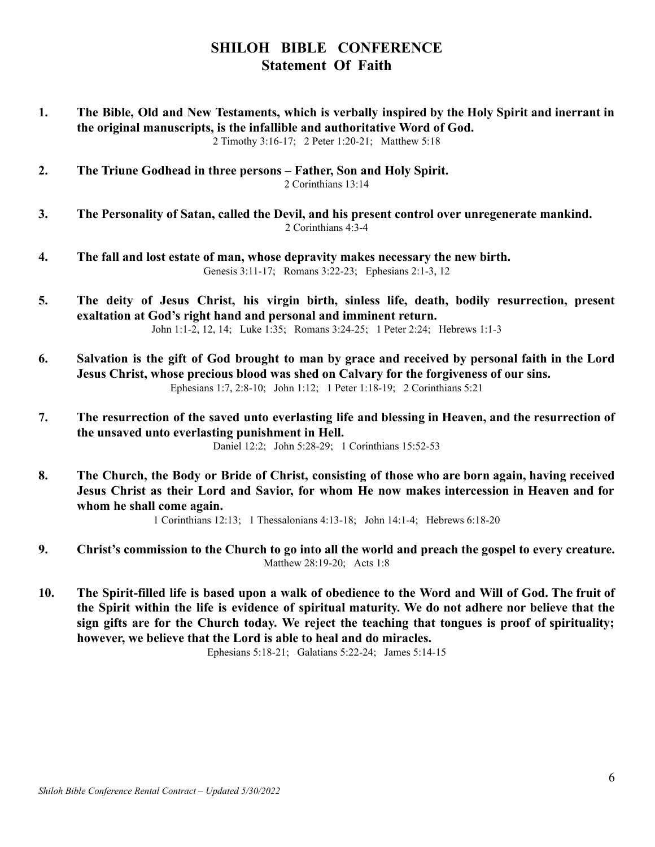# **SHILOH BIBLE CONFERENCE Statement Of Faith**

1. The Bible, Old and New Testaments, which is verbally inspired by the Holy Spirit and inerrant in **the original manuscripts, is the infallible and authoritative Word of God.** 2 Timothy 3:16-17; 2 Peter 1:20-21; Matthew 5:18

**2. The Triune Godhead in three persons – Father, Son and Holy Spirit.** 2 Corinthians 13:14

- **3. The Personality of Satan, called the Devil, and his present control over unregenerate mankind.** 2 Corinthians 4:3-4
- **4. The fall and lost estate of man, whose depravity makes necessary the new birth.** Genesis 3:11-17; Romans 3:22-23; Ephesians 2:1-3, 12
- **5. The deity of Jesus Christ, his virgin birth, sinless life, death, bodily resurrection, present exaltation at God's right hand and personal and imminent return.** John 1:1-2, 12, 14; Luke 1:35; Romans 3:24-25; 1 Peter 2:24; Hebrews 1:1-3
- 6. Salvation is the gift of God brought to man by grace and received by personal faith in the Lord **Jesus Christ, whose precious blood was shed on Calvary for the forgiveness of our sins.** Ephesians 1:7, 2:8-10; John 1:12; 1 Peter 1:18-19; 2 Corinthians 5:21
- **7. The resurrection of the saved unto everlasting life and blessing in Heaven, and the resurrection of the unsaved unto everlasting punishment in Hell.**

Daniel 12:2; John 5:28-29; 1 Corinthians 15:52-53

8. The Church, the Body or Bride of Christ, consisting of those who are born again, having received **Jesus Christ as their Lord and Savior, for whom He now makes intercession in Heaven and for whom he shall come again.**

1 Corinthians 12:13; 1 Thessalonians 4:13-18; John 14:1-4; Hebrews 6:18-20

- **9. Christ's commission to the Church to go into all the world and preach the gospel to every creature.** Matthew 28:19-20; Acts 1:8
- 10. The Spirit-filled life is based upon a walk of obedience to the Word and Will of God. The fruit of the Spirit within the life is evidence of spiritual maturity. We do not adhere nor believe that the **sign gifts are for the Church today. We reject the teaching that tongues is proof of spirituality; however, we believe that the Lord is able to heal and do miracles.**

Ephesians 5:18-21; Galatians 5:22-24; James 5:14-15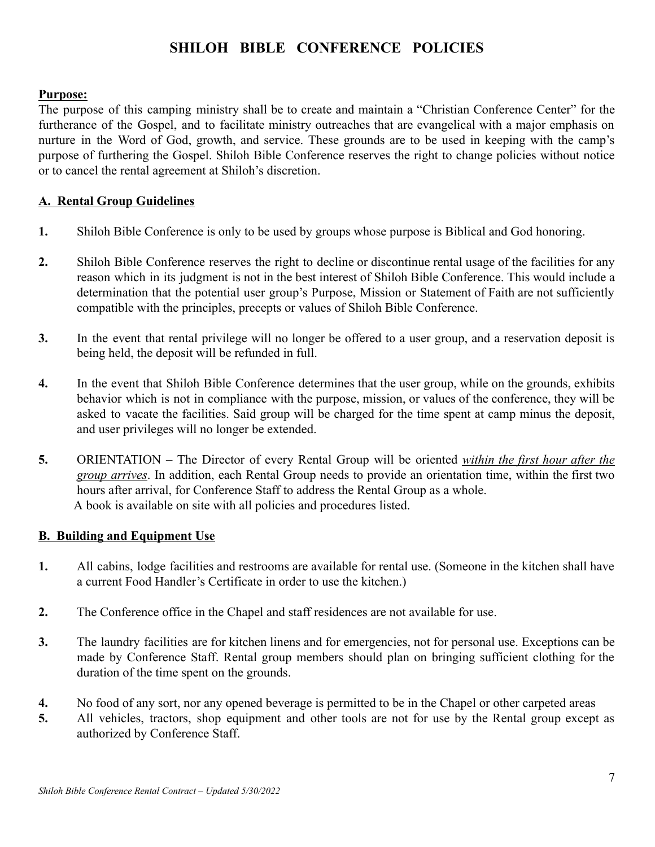# **SHILOH BIBLE CONFERENCE POLICIES**

#### **Purpose:**

The purpose of this camping ministry shall be to create and maintain a "Christian Conference Center" for the furtherance of the Gospel, and to facilitate ministry outreaches that are evangelical with a major emphasis on nurture in the Word of God, growth, and service. These grounds are to be used in keeping with the camp's purpose of furthering the Gospel. Shiloh Bible Conference reserves the right to change policies without notice or to cancel the rental agreement at Shiloh's discretion.

#### **A. Rental Group Guidelines**

- **1.** Shiloh Bible Conference is only to be used by groups whose purpose is Biblical and God honoring.
- **2.** Shiloh Bible Conference reserves the right to decline or discontinue rental usage of the facilities for any reason which in its judgment is not in the best interest of Shiloh Bible Conference. This would include a determination that the potential user group's Purpose, Mission or Statement of Faith are not sufficiently compatible with the principles, precepts or values of Shiloh Bible Conference.
- **3.** In the event that rental privilege will no longer be offered to a user group, and a reservation deposit is being held, the deposit will be refunded in full.
- **4.** In the event that Shiloh Bible Conference determines that the user group, while on the grounds, exhibits behavior which is not in compliance with the purpose, mission, or values of the conference, they will be asked to vacate the facilities. Said group will be charged for the time spent at camp minus the deposit, and user privileges will no longer be extended.
- **5.** ORIENTATION The Director of every Rental Group will be oriented *within the first hour after the group arrives*. In addition, each Rental Group needs to provide an orientation time, within the first two hours after arrival, for Conference Staff to address the Rental Group as a whole. A book is available on site with all policies and procedures listed.

#### **B. Building and Equipment Use**

- **1.** All cabins, lodge facilities and restrooms are available for rental use. (Someone in the kitchen shall have a current Food Handler's Certificate in order to use the kitchen.)
- **2.** The Conference office in the Chapel and staff residences are not available for use.
- **3.** The laundry facilities are for kitchen linens and for emergencies, not for personal use. Exceptions can be made by Conference Staff. Rental group members should plan on bringing sufficient clothing for the duration of the time spent on the grounds.
- **4.** No food of any sort, nor any opened beverage is permitted to be in the Chapel or other carpeted areas
- **5.** All vehicles, tractors, shop equipment and other tools are not for use by the Rental group except as authorized by Conference Staff.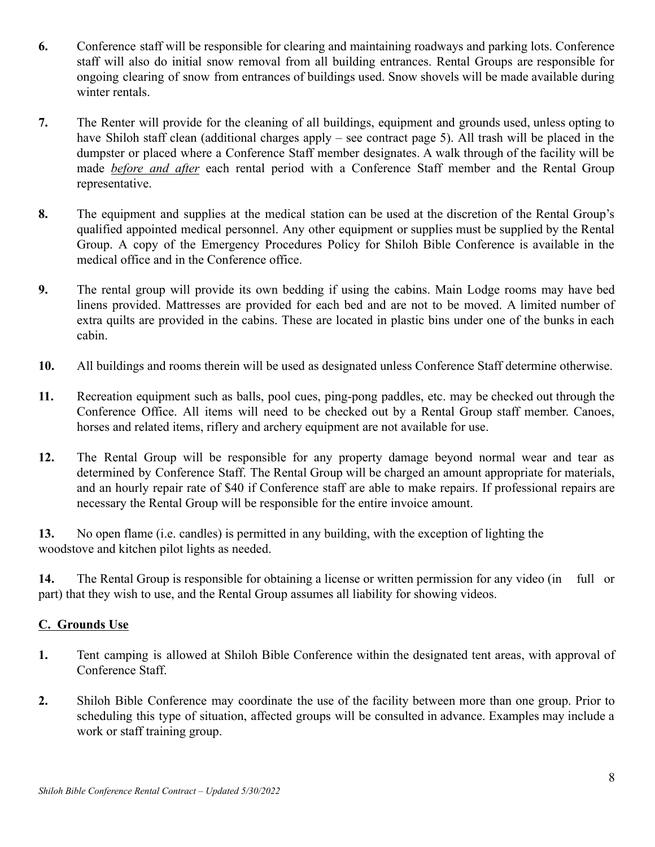- **6.** Conference staff will be responsible for clearing and maintaining roadways and parking lots. Conference staff will also do initial snow removal from all building entrances. Rental Groups are responsible for ongoing clearing of snow from entrances of buildings used. Snow shovels will be made available during winter rentals.
- **7.** The Renter will provide for the cleaning of all buildings, equipment and grounds used, unless opting to have Shiloh staff clean (additional charges apply – see contract page 5). All trash will be placed in the dumpster or placed where a Conference Staff member designates. A walk through of the facility will be made *before and after* each rental period with a Conference Staff member and the Rental Group representative.
- **8.** The equipment and supplies at the medical station can be used at the discretion of the Rental Group's qualified appointed medical personnel. Any other equipment or supplies must be supplied by the Rental Group. A copy of the Emergency Procedures Policy for Shiloh Bible Conference is available in the medical office and in the Conference office.
- **9.** The rental group will provide its own bedding if using the cabins. Main Lodge rooms may have bed linens provided. Mattresses are provided for each bed and are not to be moved. A limited number of extra quilts are provided in the cabins. These are located in plastic bins under one of the bunks in each cabin.
- **10.** All buildings and rooms therein will be used as designated unless Conference Staff determine otherwise.
- **11.** Recreation equipment such as balls, pool cues, ping-pong paddles, etc. may be checked out through the Conference Office. All items will need to be checked out by a Rental Group staff member. Canoes, horses and related items, riflery and archery equipment are not available for use.
- **12.** The Rental Group will be responsible for any property damage beyond normal wear and tear as determined by Conference Staff. The Rental Group will be charged an amount appropriate for materials, and an hourly repair rate of \$40 if Conference staff are able to make repairs. If professional repairs are necessary the Rental Group will be responsible for the entire invoice amount.

**13.** No open flame (i.e. candles) is permitted in any building, with the exception of lighting the woodstove and kitchen pilot lights as needed.

**14.** The Rental Group is responsible for obtaining a license or written permission for any video (in full or part) that they wish to use, and the Rental Group assumes all liability for showing videos.

# **C. Grounds Use**

- **1.** Tent camping is allowed at Shiloh Bible Conference within the designated tent areas, with approval of Conference Staff.
- **2.** Shiloh Bible Conference may coordinate the use of the facility between more than one group. Prior to scheduling this type of situation, affected groups will be consulted in advance. Examples may include a work or staff training group.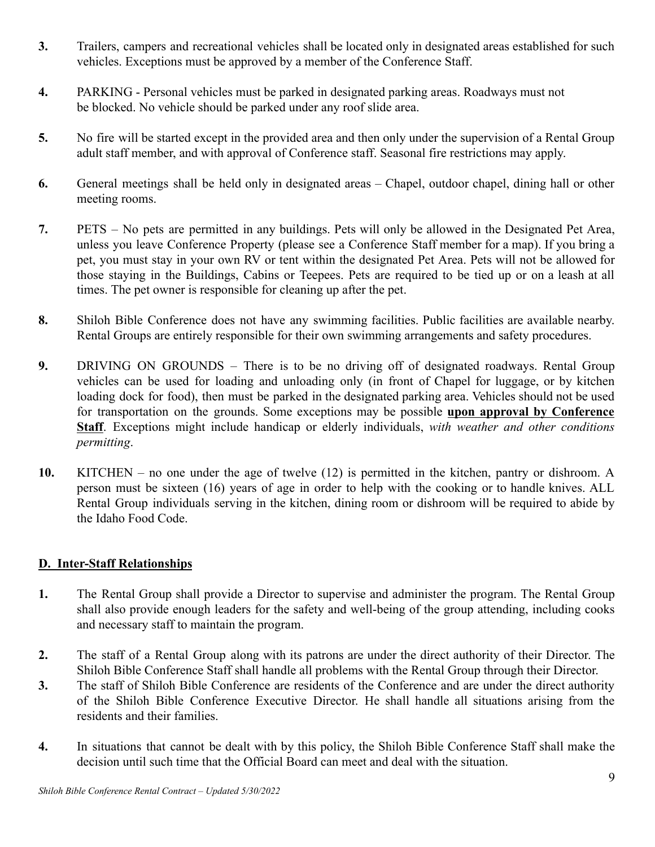- **3.** Trailers, campers and recreational vehicles shall be located only in designated areas established for such vehicles. Exceptions must be approved by a member of the Conference Staff.
- **4.** PARKING Personal vehicles must be parked in designated parking areas. Roadways must not be blocked. No vehicle should be parked under any roof slide area.
- **5.** No fire will be started except in the provided area and then only under the supervision of a Rental Group adult staff member, and with approval of Conference staff. Seasonal fire restrictions may apply.
- **6.** General meetings shall be held only in designated areas Chapel, outdoor chapel, dining hall or other meeting rooms.
- **7.** PETS No pets are permitted in any buildings. Pets will only be allowed in the Designated Pet Area, unless you leave Conference Property (please see a Conference Staff member for a map). If you bring a pet, you must stay in your own RV or tent within the designated Pet Area. Pets will not be allowed for those staying in the Buildings, Cabins or Teepees. Pets are required to be tied up or on a leash at all times. The pet owner is responsible for cleaning up after the pet.
- **8.** Shiloh Bible Conference does not have any swimming facilities. Public facilities are available nearby. Rental Groups are entirely responsible for their own swimming arrangements and safety procedures.
- **9.** DRIVING ON GROUNDS There is to be no driving off of designated roadways. Rental Group vehicles can be used for loading and unloading only (in front of Chapel for luggage, or by kitchen loading dock for food), then must be parked in the designated parking area. Vehicles should not be used for transportation on the grounds. Some exceptions may be possible **upon approval by Conference Staff**. Exceptions might include handicap or elderly individuals, *with weather and other conditions permitting*.
- **10.** KITCHEN no one under the age of twelve (12) is permitted in the kitchen, pantry or dishroom. A person must be sixteen (16) years of age in order to help with the cooking or to handle knives. ALL Rental Group individuals serving in the kitchen, dining room or dishroom will be required to abide by the Idaho Food Code.

# **D. Inter-Staff Relationships**

- **1.** The Rental Group shall provide a Director to supervise and administer the program. The Rental Group shall also provide enough leaders for the safety and well-being of the group attending, including cooks and necessary staff to maintain the program.
- **2.** The staff of a Rental Group along with its patrons are under the direct authority of their Director. The Shiloh Bible Conference Staff shall handle all problems with the Rental Group through their Director.
- **3.** The staff of Shiloh Bible Conference are residents of the Conference and are under the direct authority of the Shiloh Bible Conference Executive Director. He shall handle all situations arising from the residents and their families.
- **4.** In situations that cannot be dealt with by this policy, the Shiloh Bible Conference Staff shall make the decision until such time that the Official Board can meet and deal with the situation.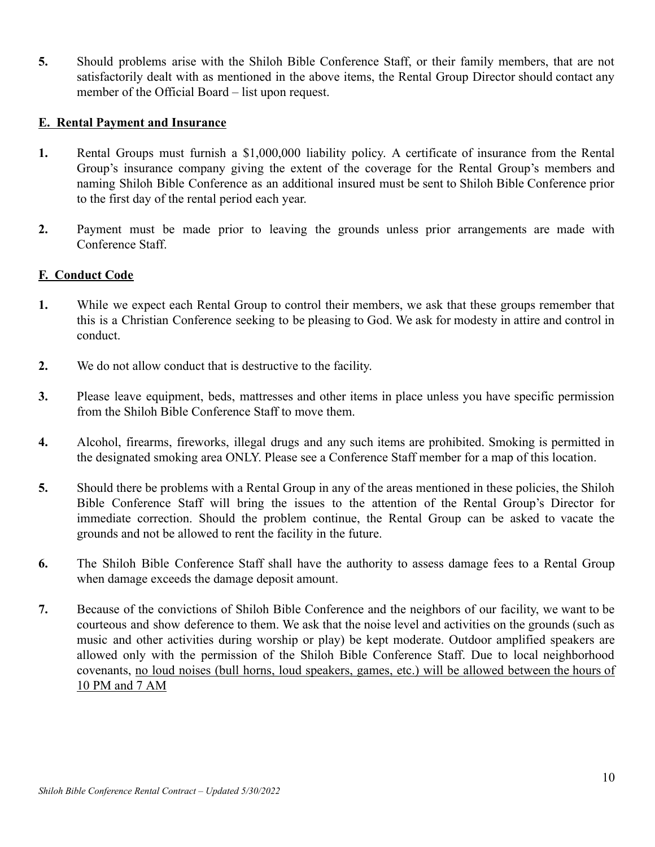**5.** Should problems arise with the Shiloh Bible Conference Staff, or their family members, that are not satisfactorily dealt with as mentioned in the above items, the Rental Group Director should contact any member of the Official Board – list upon request.

# **E. Rental Payment and Insurance**

- **1.** Rental Groups must furnish a \$1,000,000 liability policy. A certificate of insurance from the Rental Group's insurance company giving the extent of the coverage for the Rental Group's members and naming Shiloh Bible Conference as an additional insured must be sent to Shiloh Bible Conference prior to the first day of the rental period each year.
- **2.** Payment must be made prior to leaving the grounds unless prior arrangements are made with Conference Staff.

#### **F. Conduct Code**

- **1.** While we expect each Rental Group to control their members, we ask that these groups remember that this is a Christian Conference seeking to be pleasing to God. We ask for modesty in attire and control in conduct.
- **2.** We do not allow conduct that is destructive to the facility.
- **3.** Please leave equipment, beds, mattresses and other items in place unless you have specific permission from the Shiloh Bible Conference Staff to move them.
- **4.** Alcohol, firearms, fireworks, illegal drugs and any such items are prohibited. Smoking is permitted in the designated smoking area ONLY. Please see a Conference Staff member for a map of this location.
- **5.** Should there be problems with a Rental Group in any of the areas mentioned in these policies, the Shiloh Bible Conference Staff will bring the issues to the attention of the Rental Group's Director for immediate correction. Should the problem continue, the Rental Group can be asked to vacate the grounds and not be allowed to rent the facility in the future.
- **6.** The Shiloh Bible Conference Staff shall have the authority to assess damage fees to a Rental Group when damage exceeds the damage deposit amount.
- **7.** Because of the convictions of Shiloh Bible Conference and the neighbors of our facility, we want to be courteous and show deference to them. We ask that the noise level and activities on the grounds (such as music and other activities during worship or play) be kept moderate. Outdoor amplified speakers are allowed only with the permission of the Shiloh Bible Conference Staff. Due to local neighborhood covenants, no loud noises (bull horns, loud speakers, games, etc.) will be allowed between the hours of 10 PM and 7 AM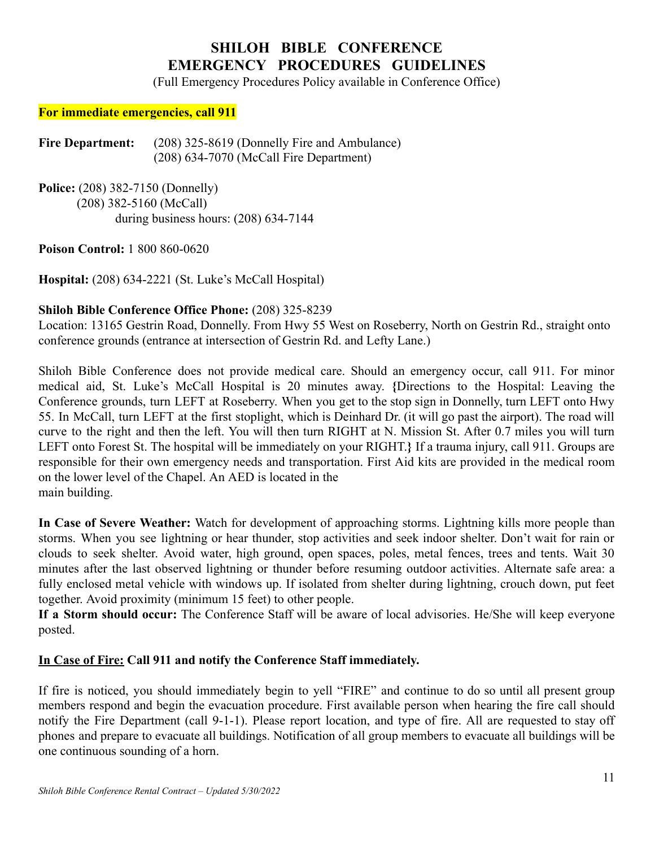# **SHILOH BIBLE CONFERENCE EMERGENCY PROCEDURES GUIDELINES**

(Full Emergency Procedures Policy available in Conference Office)

#### **For immediate emergencies, call 911**

Fire Department: (208) 325-8619 (Donnelly Fire and Ambulance) (208) 634-7070 (McCall Fire Department)

**Police:** (208) 382-7150 (Donnelly) (208) 382-5160 (McCall) during business hours: (208) 634-7144

**Poison Control:** 1 800 860-0620

**Hospital:** (208) 634-2221 (St. Luke's McCall Hospital)

#### **Shiloh Bible Conference Office Phone:** (208) 325-8239

Location: 13165 Gestrin Road, Donnelly. From Hwy 55 West on Roseberry, North on Gestrin Rd., straight onto conference grounds (entrance at intersection of Gestrin Rd. and Lefty Lane.)

Shiloh Bible Conference does not provide medical care. Should an emergency occur, call 911. For minor medical aid, St. Luke's McCall Hospital is 20 minutes away. **{**Directions to the Hospital: Leaving the Conference grounds, turn LEFT at Roseberry. When you get to the stop sign in Donnelly, turn LEFT onto Hwy 55. In McCall, turn LEFT at the first stoplight, which is Deinhard Dr. (it will go past the airport). The road will curve to the right and then the left. You will then turn RIGHT at N. Mission St. After 0.7 miles you will turn LEFT onto Forest St. The hospital will be immediately on your RIGHT.**}** If a trauma injury, call 911. Groups are responsible for their own emergency needs and transportation. First Aid kits are provided in the medical room on the lower level of the Chapel. An AED is located in the main building.

**In Case of Severe Weather:** Watch for development of approaching storms. Lightning kills more people than storms. When you see lightning or hear thunder, stop activities and seek indoor shelter. Don't wait for rain or clouds to seek shelter. Avoid water, high ground, open spaces, poles, metal fences, trees and tents. Wait 30 minutes after the last observed lightning or thunder before resuming outdoor activities. Alternate safe area: a fully enclosed metal vehicle with windows up. If isolated from shelter during lightning, crouch down, put feet together. Avoid proximity (minimum 15 feet) to other people.

**If a Storm should occur:** The Conference Staff will be aware of local advisories. He/She will keep everyone posted.

#### **In Case of Fire: Call 911 and notify the Conference Staff immediately.**

If fire is noticed, you should immediately begin to yell "FIRE" and continue to do so until all present group members respond and begin the evacuation procedure. First available person when hearing the fire call should notify the Fire Department (call 9-1-1). Please report location, and type of fire. All are requested to stay off phones and prepare to evacuate all buildings. Notification of all group members to evacuate all buildings will be one continuous sounding of a horn.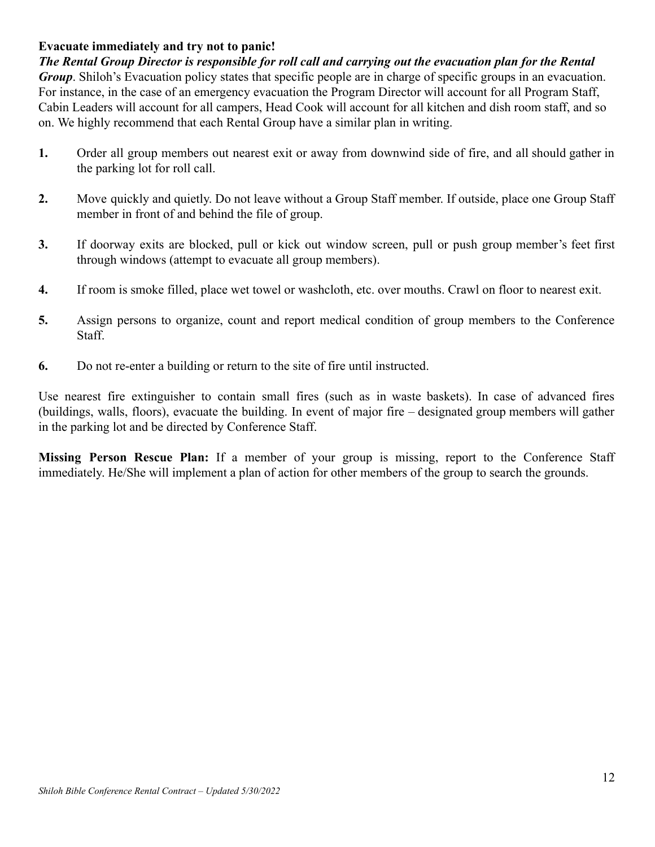# **Evacuate immediately and try not to panic!**

*The Rental Group Director is responsible for roll call and carrying out the evacuation plan for the Rental Group*. Shiloh's Evacuation policy states that specific people are in charge of specific groups in an evacuation. For instance, in the case of an emergency evacuation the Program Director will account for all Program Staff, Cabin Leaders will account for all campers, Head Cook will account for all kitchen and dish room staff, and so on. We highly recommend that each Rental Group have a similar plan in writing.

- **1.** Order all group members out nearest exit or away from downwind side of fire, and all should gather in the parking lot for roll call.
- **2.** Move quickly and quietly. Do not leave without a Group Staff member. If outside, place one Group Staff member in front of and behind the file of group.
- **3.** If doorway exits are blocked, pull or kick out window screen, pull or push group member's feet first through windows (attempt to evacuate all group members).
- **4.** If room is smoke filled, place wet towel or washcloth, etc. over mouths. Crawl on floor to nearest exit.
- **5.** Assign persons to organize, count and report medical condition of group members to the Conference Staff.
- **6.** Do not re-enter a building or return to the site of fire until instructed.

Use nearest fire extinguisher to contain small fires (such as in waste baskets). In case of advanced fires (buildings, walls, floors), evacuate the building. In event of major fire – designated group members will gather in the parking lot and be directed by Conference Staff.

**Missing Person Rescue Plan:** If a member of your group is missing, report to the Conference Staff immediately. He/She will implement a plan of action for other members of the group to search the grounds.